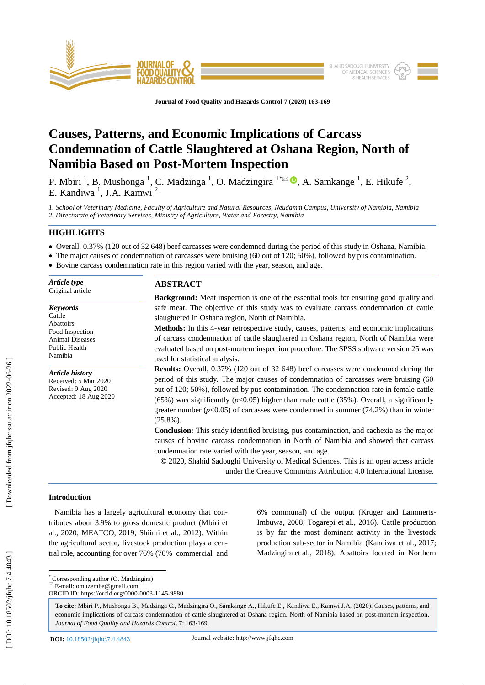

**Journal of Food Quality and Hazards Control 7 (2020) 163 -169**

# **Causes, Patterns, and Economic Implications of Carcass Condemnation of Cattle Slaughtered at Oshana Region, North of Namibia Based on Post -Mortem Inspection**

P. Mbiri<sup>1</sup>, B. Mushonga<sup>1</sup>, C. Madzinga<sup>1</sup>, O. Madzingira<sup>1\*</sup><sup>2</sup>, A. Samkange<sup>1</sup>, E. Hikufe<sup>2</sup>, E. Kandiwa<sup>1</sup>, J.A. Kamwi<sup>2</sup>

*1. School of Veterinary Medicine, Faculty of Agriculture and Natural Resources, Neudamm Campus, University of Namibia, Namibia 2. Directorate of Veterinary Services, Ministry of Agriculture, Water and Forestry, Namibia* 

# **HIGHLIGHTS**

- Overall, 0.37% (120 out of 32 648) beef carcasses were condemned during the period of this study in Oshana, Namibia.
- The major causes of condemnation of carcasses were bruising (60 out of 120; 50%), followed by pus contamination.
- Bovine carcass condemnation rate in this region varied with the year, season, and age.

| Article type<br>Original article          | <b>ABSTRACT</b>                                                                                 |
|-------------------------------------------|-------------------------------------------------------------------------------------------------|
|                                           | <b>Background:</b> Meat inspection is one of the essential tools for ensuring good quality and  |
| <b>Keywords</b>                           | safe meat. The objective of this study was to evaluate carcass condemnation of cattle           |
| Cattle                                    | slaughtered in Oshana region, North of Namibia.                                                 |
| Abattoirs                                 | <b>Methods:</b> In this 4-year retrospective study, causes, patterns, and economic implications |
| Food Inspection<br><b>Animal Diseases</b> | of carcass condemnation of cattle slaughtered in Oshana region, North of Namibia were           |
| Public Health                             | evaluated based on post-mortem inspection procedure. The SPSS software version 25 was           |
| Namibia                                   | used for statistical analysis.                                                                  |
|                                           | <b>Results:</b> Overall, 0.37% (120 out of 32 648) beef carcasses were condemned during the     |
| Article history<br>Received: 5 Mar 2020   | period of this study. The major causes of condemnation of carcasses were bruising (60)          |
| Revised: 9 Aug 2020                       | out of 120; 50%), followed by pus contamination. The condemnation rate in female cattle         |
| Accepted: 18 Aug 2020                     | $(65%)$ was significantly ( $p<0.05$ ) higher than male cattle (35%). Overall, a significantly  |
|                                           |                                                                                                 |
|                                           | greater number ( $p<0.05$ ) of carcasses were condemned in summer (74.2%) than in winter        |
|                                           | $(25.8\%)$ .                                                                                    |
|                                           | Conclusion: This study identified bruising, pus contamination, and cachexia as the major        |
|                                           | causes of bovine carcass condemnation in North of Namibia and showed that carcass               |
|                                           | condemnation rate varied with the year, season, and age.                                        |
|                                           | © 2020, Shahid Sadoughi University of Medical Sciences. This is an open access article          |
|                                           | under the Creative Commons Attribution 4.0 International License.                               |

# **Introduction**

 Namibia has a largely agricultural economy that contributes about 3.9% to gross domestic product (Mbiri et al., 2020; MEATCO, 2019; Shiimi et al., 2012). Within the agricultural sector, livestock production plays a central role, accounting for over 76% (70% commercial and 6% communal) of the output (Kruger and Lammerts - Imbuwa, 2008; Togarepi et al., 2016). Cattle production is by far the most dominant activity in the livestock production sub -sector in Namibia (Kandiwa et al., 2017; Madzingira et al., 2018). Abattoirs located in Northern

\* Corresponding author (O. Madzingira)

 $E$ -mail: omuzembe@gmail.com

ORCID ID: https://orcid.org/0000 -0003 -1145 -9880

**To cite:** Mbiri P., Mushonga B., Madzinga C., Madzingira O., Samkange A., Hikufe E., Kandiwa E., Kamwi J.A. (2020). Causes, patterns, and economic implications of carcass condemnation of cattle slaughtered at Oshana region, North of Namibia based on post-mortem inspection. Journal of Food Quality and Hazards Control. 7: 163-169.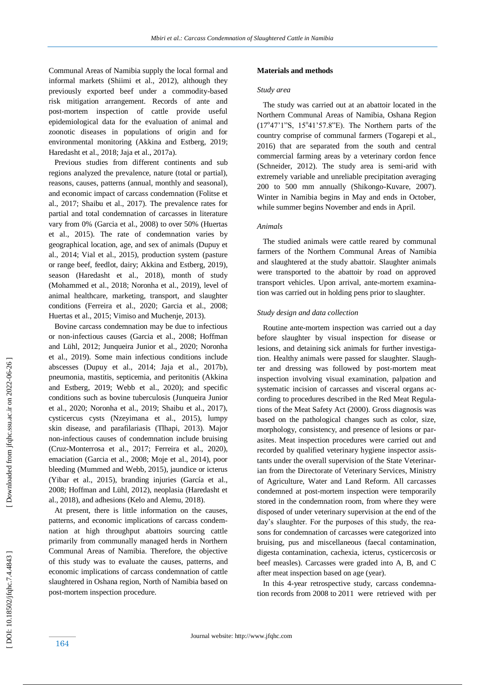Communal Area s of Namibia supply the local formal and informal markets (Shiimi et al., 2012), although they previously exported beef under a commodity -based risk mitigation arrangement. Records of ante and post -mortem inspection of cattle provide useful epidemiological data for the evaluation of animal and zoonotic diseases in populations of origin and for environmental monitoring (Akkina and Estberg, 2019; Haredasht et al., 2018; Jaja et al., 2017a).

 Previous studies from different continents and sub regions analyzed the prevalence, nature (total or partial), reasons, causes, patterns (annual, monthly and seasonal) , and economic impact of carcass condemnation (Folitse et al., 2017; Shaibu et al., 2017). The prevalence rates for partial and total condemnation of carcasses in literature vary from 0% (Garcia et al., 2008) to over 50% (Huertas et al., 2015). The rate of condemnation varies by geographical location, age, and sex of animals (Dupuy et al., 2014; Vial et al., 2015), production system (pasture or range beef, feedlot, dairy; Akkina and Estberg, 2019), season (Haredasht et al., 2018), month of study (Mohammed et al., 2018; Noronha et al., 2019), level of animal healthcare, marketing, transport, and slaughter conditions (Ferreira et al., 2020; Garcia et al., 2008; Huertas et al., 2015; Vimiso and Muchenje, 2013).

 Bovine carcass condemnation may be due to infectious or non -infectious causes (Garcia et al., 2008; Hoffman and Lühl, 2012; Junqueira Junior et al., 2020; Noronha et al., 2019). Some main infectious conditions include abscesses (Dupuy et al., 2014; Jaja et al., 2017b), pneumonia, mastitis, septicemia, and peritonitis (Akkina and Estberg, 2019; Webb et al., 2020) ; and specific conditions such as bovine tuberculosis (Junqueira Junior et al., 2020; Noronha et al., 2019; Shaibu et al., 2017), cysticercus cysts (Nzeyimana et al., 2015), lumpy skin disease, and parafilariasis (Tlhapi, 2013). Major non -infectious causes of condemnation include bruising (Cruz -Monterrosa et al., 2017; Ferreira et al., 2020), emaciation (Garcia et al., 2008; Moje et al., 2014), poor bleeding (Mummed and Webb, 2015), jaundice or icterus (Yibar et al., 2015), branding injuries (García et al., 2008; Hoffman and Lühl, 2012), neoplasia (Haredasht et al., 2018), and adhesions (Kelo and Alemu, 2018).

 At present, there is little information on the causes, patterns, and economic implications of carcass condemnation at high throughput abattoirs sourcing cattle primarily from communally managed herds in Northern Communal Areas of Namibia. Therefore, the objective of this study was to evaluate the causes, patterns, and economic implications of carcass condemnation of cattle slaughtered in Oshana region, North of Namibia based on post -mortem inspection procedure.

## **Materials and methods**

## *Study area*

 The study was carried out at an abattoir located in the Northern Communal Area s of Namibia, Oshana Region  $(17°47'1''S, 15°41'57.8''E)$ . The Northern parts of the country comprise of communal farmers (Togarepi et al., 2016) that are separated from the south and central commercial farming areas by a veterinary cordon fence (Schneider, 2012). The study area is semi -arid with extremely variable and unreliable precipitation averaging 200 to 500 mm annually (Shikongo -Kuvare, 2007). Winter in Namibia begins in May and ends in October, while summer begins November and ends in April.

# *Animals*

 The studied animals were cattle reared by communal farmers of the Northern Communal Areas of Namibia and slaughtered at the study abattoir. Slaughter animals were transported to the abattoir by road on approved transport vehicles. Upon arrival, ante -mortem examination was carried out in holding pens prior to slaughter.

### *Study design and data collection*

 Routine ante -mortem inspection was carried out a day before slaughter by visual inspection for disease or lesions, and detaining sick animals for further investigation. Healthy animals were passed for slaughter. Slaughter and dressing was followed by post-mortem meat inspection involving visual examination, palpation and systematic incision of carcasses and visceral organs according to procedures described in the Red Meat Regulations of the Meat Safety Act (2000). Gross diagnosis was based on the pathological changes such as color, size, morphology, consistency, and presence of lesions or parasites. Meat inspection procedures were carried out and recorded by qualified veterinary hygiene inspector assistants under the overall supervision of the State Veterinarian from the Directorate of Veterinary Services, Ministry of Agriculture, Water and Land Reform. All carcasses condemned at post -mortem inspection were temporarily stored in the condemnation room, from where they were disposed of under veterinary supervision at the end of the day's slaughter. For the purposes of this study, the reasons for condemnation of carcasses were categorized into bruising, pus and miscellaneous (faecal contamination, digesta contamination, cachexia, icterus, cysticercosis or beef measles). Carcasses were graded into A, B, and C after meat inspection based on age (year).

 In this 4 -year retrospective study, carcass condemnation records from 2008 to 2011 were retrieved with per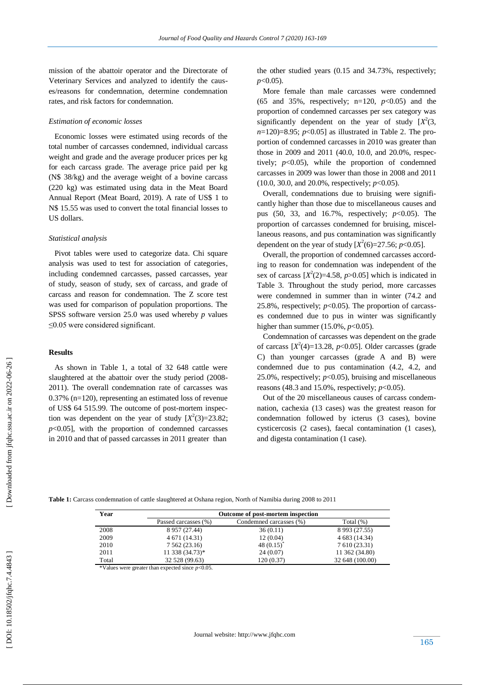mission of the abattoir operator and the Directorate of Veterinary Services and analyzed to identify the causes/reasons for condemnation, determine condemnation rates, and risk factors for condemnation.

# *Estimation of economic losses*

 Economic losses were estimated using records of the total number of carcasses condemned, individual carcass weight and grade and the average producer prices per kg for each carcass grade. The average price paid per kg (N\$ 38/kg) and the average weight of a bovine carcass (220 kg) was estimated using data in the Meat Board Annual Report (Meat Board, 2019). A rate of US\$ 1 to N\$ 15.55 was used to convert the total financial losses to US dollars.

# *Statistical analysis*

 Pivot tables were used to categorize data. Chi square analysis was used to test for association of categories , including condemned carcasses, passed carcasses, year of study, season of study, sex of carcass, and grade of carcass and reason for condemnation. The Z score test was used for comparison of population proportions. The SPSS software version 25.0 was used whereby *p* values ≤0.05 were considered significant.

# **Results**

 As shown in Table 1, a total of 32 648 cattle were slaughtered at the abattoir over the study period (2008 - 2011). The overall condemnation rate of carcasses was 0.37% (n=120), representing an estimated loss of revenue of US\$ 64 515.99. The outcome of post -mortem inspection was dependent on the year of study  $[X^2(3)=23.82;$  $p<0.05$ ], with the proportion of condemned carcasses in 2010 and that of passed carcasses in 2011 greater than

the other studied years (0.15 and 34.73%, respectively; *p*<0.05).

 More female than male carcasses were condemned (65 and 35%, respectively;  $n=120$ ,  $p<0.05$ ) and the proportion of condemned carcasses per sex category was significantly dependent on the year of study  $[X^2(3,$ *n*=120)=8.95; *p*<0.05] as illustrated in Table 2. The proportion of condemned carcasses in 2010 was greater than those in 2009 and 2011 (40.0, 10.0, and 20.0%, respectively;  $p<0.05$ ), while the proportion of condemned carcasses in 2009 was lower than those in 2008 and 2011 (10.0, 30.0, and 20.0%, respectively; *p*<0.05).

 Overall, condemnations due to bruising were significantly higher than those due to miscellaneous causes and pus (50, 33, and 16.7%, respectively; *p*<0.05). The proportion of carcasses condemned for bruising, miscellaneous reasons, and pus contamination was significantly dependent on the year of study  $[X^2(6)=27.56; p<0.05]$ .

 Overall, the proportion of condemned carcasses according to reason for condemnation was independent of the sex of carcass  $[X^2(2)=4.58, p>0.05]$  which is indicated in Table 3. Throughout the study period, more carcasses were condemned in summer than in winter (74.2 and 25.8%, respectively;  $p<0.05$ ). The proportion of carcasses condemned due to pus in winter was significantly higher than summer (15.0%, *p*<0.05).

 Condemnation of carcasses was dependent on the grade of carcass  $[X^2(4)=13.28, p<0.05]$ . Older carcasses (grade C) than younger carcasses (grade A and B) were condemned due to pus contamination (4.2, 4.2, and 25.0%, respectively;  $p<0.05$ ), bruising and miscellaneous reasons  $(48.3 \text{ and } 15.0\%$ , respectively;  $p<0.05$ ).

 Out of the 20 miscellaneous causes of carcass condemnation, cachexia (13 cases) was the greatest reason for condemnation followed by icterus (3 cases), bovine cysticercosis (2 cases), faecal contamination (1 cases), and digesta contamination (1 case).

**Table 1:** Carcass condemnation of cattle slaughtered at Oshana region, North of Namibia during 2008 to 2011

| Year  |                      | Outcome of post-mortem inspection |                 |
|-------|----------------------|-----------------------------------|-----------------|
|       | Passed carcasses (%) | Condemned carcasses (%)           | Total $(\%)$    |
| 2008  | 8 9 5 7 (27.44)      | 36(0.11)                          | 8 9 9 3 (27.55) |
| 2009  | 4 671 (14.31)        | 12(0.04)                          | 4 683 (14.34)   |
| 2010  | 7 5 6 2 ( 23.16)     | 48 $(0.15)^{*}$                   | 7 610 (23.31)   |
| 2011  | 11 338 (34.73)*      | 24 (0.07)                         | 11 362 (34.80)  |
| Total | 32 528 (99.63)       | 120 (0.37)                        | 32 648 (100.00) |

\*Values were greater than expected since *p*<0.05.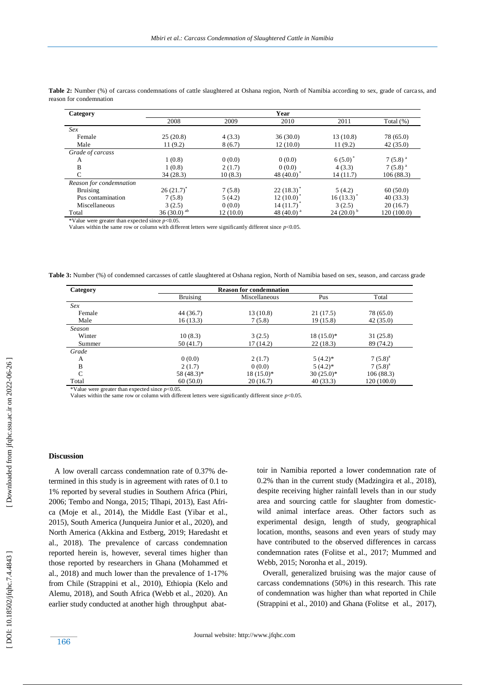| Category                |                   |          | Year                   |                |              |
|-------------------------|-------------------|----------|------------------------|----------------|--------------|
|                         | 2008              | 2009     | 2010                   | 2011           | Total $(\%)$ |
| Sex                     |                   |          |                        |                |              |
| Female                  | 25(20.8)          | 4(3.3)   | 36(30.0)               | 13 (10.8)      | 78 (65.0)    |
| Male                    | 11(9.2)           | 8(6.7)   | 12(10.0)               | 11(9.2)        | 42(35.0)     |
| Grade of carcass        |                   |          |                        |                |              |
| A                       | 1(0.8)            | 0(0.0)   | 0(0.0)                 | 6(5.0)         | $7(5.8)^{a}$ |
| B                       | 1(0.8)            | 2(1.7)   | 0(0.0)                 | 4(3.3)         | $7(5.8)^{a}$ |
| $\subset$               | 34(28.3)          | 10(8.3)  | 48 $(40.0)$            | 14 (11.7)      | 106(88.3)    |
| Reason for condemnation |                   |          |                        |                |              |
| <b>Bruising</b>         | $26(21.7)^{*}$    | 7(5.8)   | $22(18.3)^{*}$         | 5(4.2)         | 60(50.0)     |
| Pus contamination       | 7(5.8)            | 5(4.2)   | 12(10.0)               | 16(13.3)       | 40(33.3)     |
| Miscellaneous           | 3(2.5)            | 0(0.0)   | 14(11.7)               | 3(2.5)         | 20(16.7)     |
| Total                   | 36 (30.0) $^{ab}$ | 12(10.0) | 48 (40.0) <sup>a</sup> | $24(20.0)^{b}$ | 120(100.0)   |

Table 2: Number (%) of carcass condemnations of cattle slaughtered at Oshana region, North of Namibia according to sex, grade of carca ss, and reason for condemnation

\*Value were greater than expected since *p*<0.05.

Values within the same row or column with different letters were significantly different since  $p<0.05$ .

Table 3: Number (%) of condemned carcasses of cattle slaughtered at Oshana region, North of Namibia based on sex, season, and carcass grade

| Category     |                 | <b>Reason for condemnation</b> |              |              |
|--------------|-----------------|--------------------------------|--------------|--------------|
|              | <b>Bruising</b> | Miscellaneous                  | Pus          | Total        |
| Sex          |                 |                                |              |              |
| Female       | 44 (36.7)       | 13(10.8)                       | 21(17.5)     | 78 (65.0)    |
| Male         | 16(13.3)        | 7(5.8)                         | 19(15.8)     | 42(35.0)     |
| Season       |                 |                                |              |              |
| Winter       | 10(8.3)         | 3(2.5)                         | $18(15.0)^*$ | 31(25.8)     |
| Summer       | 50(41.7)        | 17(14.2)                       | 22(18.3)     | 89 (74.2)    |
| Grade        |                 |                                |              |              |
| A            | 0(0.0)          | 2(1.7)                         | $5(4.2)$ *   | $7(5.8)^a$   |
| B            | 2(1.7)          | 0(0.0)                         | $5(4.2)$ *   | $7(5.8)^{a}$ |
| $\mathsf{C}$ | 58 (48.3)*      | $18(15.0)^*$                   | $30(25.0)^*$ | 106(88.3)    |
| Total        | 60(50.0)        | 20(16.7)                       | 40(33.3)     | 120(100.0)   |

\*Value were greater than expected since *p*<0.05. Values within the same row or column with different letters were significantly different since *p*<0.05.

#### **Discussion**

 A low overall carcass condemnation rate of 0.37% determined in this study is in agreement with rates of 0.1 to 1% reported by several studies in Southern Africa (Phiri, 2006; Tembo and Nonga, 2015; Tlhapi, 2013), East Africa (Moje et al., 2014), the Middle East (Yibar et al., 2015), South America (Junqueira Junior et al., 2020), and North America (Akkina and Estberg, 2019; Haredasht et al., 2018). The prevalence of carcass condemnation reported herein is, however, several times higher than those reported by researchers in Ghana (Mohammed et al., 2018) and much lower than the prevalence of 1 -17% from Chile (Strappini et al., 2010), Ethiopia (Kelo and Alemu, 2018), and South Africa (Webb et al., 2020). An earlier study conducted at another high throughput abat -

toir in Namibia reported a lower condemnation rate of 0.2% than in the current study (Madzingira et al., 2018), despite receiving higher rainfall levels than in our study area and sourcing cattle for slaughter from domestic wild animal interface areas. Other factors such as experimental design, length of study, geographical location, months, seasons and even years of study may have contributed to the observed differences in carcass condemnation rates (Folitse et al., 2017; Mummed and Webb, 2015; Noronha et al., 2019).

 Overall, generalized bruising was the major cause of carcass condemnations (50%) in this research. This rate of condemnation was higher than what reported in Chile (Strappini et al., 2010) and Ghana (Folitse et al., 2017),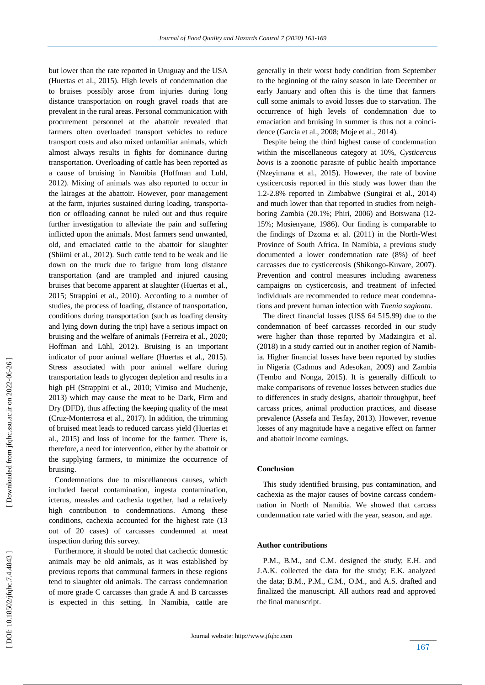but lower than the rate reported in Uruguay and the USA (Huertas et al., 2015). High levels of condemnation due to bruises possibly arose from injuries during long distance transportation on rough gravel roads that are prevalent in the rural areas. Personal communication with procurement personnel at the abattoir revealed that farmers often overloaded transport vehicles to reduce transport costs and also mixed unfamiliar animals, which almost always results in fights for dominance during transportation. Overloading of cattle has been reported as a cause of bruising in Namibia (Hoffman and Luhl, 2012). Mixing of animals was also reported to occur in the lairages at the abattoir. However, poor management at the farm, injuries sustained during loading, transportation or offloading cannot be ruled out and thus require further investigation to alleviate the pain and suffering inflicted upon the animals. Most farmers send unwanted, old, and emaciated cattle to the abattoir for slaughter (Shiimi et al., 2012). Such cattle tend to be weak and lie down on the truck due to fatigue from long distance transportation (and are trampled and injured causing bruises that become apparent at slaughter (Huertas et al., 2015; Strappini et al., 2010). According to a number of studies, the process of loading, distance of transportation, conditions during transportation (such as loading density and lying down during the trip) have a serious impact on bruising and the welfare of animals (Ferreira et al., 2020; Hoffman and Lühl, 2012). Bruising is an important indicator of poor animal welfare (Huertas et al., 2015). Stress associated with poor animal welfare during transportation leads to glycogen depletion and results in a high pH (Strappini et al., 2010; Vimiso and Muchenje, 2013) which may cause the meat to be Dark, Firm and Dry (DFD) , thus affecting the keeping quality of the meat (Cruz -Monterrosa et al., 2017). In addition, the trimming of bruised meat leads to reduced carcass yield (Huertas et al., 2015) and loss of income for the farmer. There is, therefore, a need for intervention, either by the abattoir or the supplying farmers, to minimize the occurrence of bruising.

 Condemnations due to miscellaneous causes, which included faecal contamination, ingesta contamination, icterus, measles and cachexia together, had a relatively high contribution to condemnations. Among these conditions, cachexia accounted for the highest rate (13 out of 20 cases) of carcasses condemned at meat inspection during this survey.

 Furthermore, it should be noted that cachectic domestic animals may be old animals, as it was established by previous reports that communal farmers in these regions tend to slaughter old animals. The carcass condemnation of more grade C carcasses than grade A and B carcasses is expected in this setting. In Namibia, cattle are generally in their worst body condition from September to the beginning of the rainy season in late December or early January and often this is the time that farmers cull some animals to avoid losses due to starvation. The occurrence of high levels of condemnation due to emaciation and bruising in summer is thus not a coincidence (Garcia et al., 2008; Moje et al., 2014).

 Despite being the third highest cause of condemnation within the miscellaneous category at 10%, *Cysticercus bovis* is a zoonotic parasite of public health importance (Nzeyimana et al., 2015). However , the rate of bovine cysticercosis reported in this study was lower than the 1.2 -2.8% reported in Zimbabwe (Sungirai et al., 2014) and much lower than that reported in studies from neighboring Zambia (20.1%; Phiri, 2006) and Botswana (12- 15%; Mosienyane, 1986). Our finding is comparable to the findings of Dzoma et al. (2011) in the North -West Province of South Africa. In Namibia, a previous study documented a lower condemnation rate (8%) of beef carcasses due to cysticercosis (Shikongo -Kuvare, 2007). Prevention and control measures including awareness campaigns on cysticercosis, and treatment of infected individuals are recommended to reduce meat condemnations and prevent human infection with *Taenia saginata*.

 The direct financial losses (US\$ 64 515.99) due to the condemnation of beef carcasses recorded in our study were higher than those reported by Madzingira et al. (2018) in a study carried out in another region of Namibia. Higher financial losses have been reported by studies in Nigeria (Cadmus and Adesokan, 2009) and Zambia (Tembo and Nonga, 2015). It is generally difficult to make comparisons of revenue losses between studies due to differences in study designs, abattoir throughput, beef carcass prices, animal production practices, and disease prevalence (Assefa and Tesfay, 2013). However, revenue losses of any magnitude have a negative effect on farmer and abattoir income earnings.

# **Conclusion**

 This study identified bruising, pus contamination, and cachexia as the major causes of bovine carcass condemnation in North of Namibia. We showed that carcass condemnation rate varied with the year, season, and age.

## **Author contributions**

 P.M., B.M., and C.M. designed the study; E.H. and J.A.K. collected the data for the study; E.K. analyzed the data; B.M., P.M., C.M., O.M., and A.S. drafted and finalized the manuscript. All authors read and approved the final manuscript.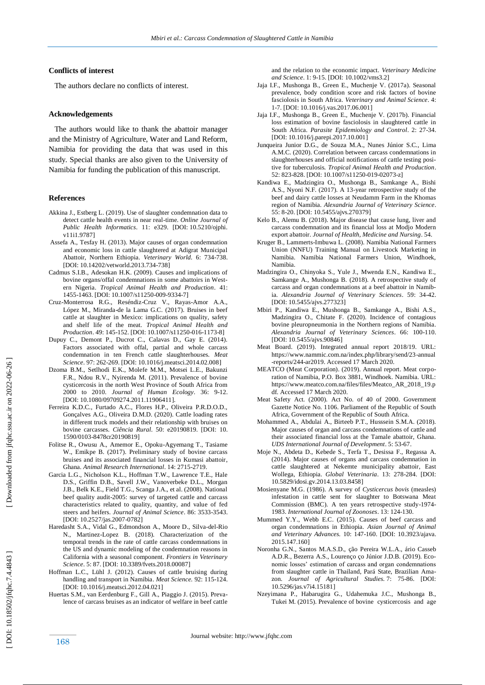## **Conflicts of interest**

The authors declare no conflicts of interest.

#### **Acknowledgements**

 The authors would like to thank the abattoir manager and the Ministry of Agriculture, Water and Land Reform, Namibia for providing the data that was used in this study. Special thanks are also given to the University of Namibia for funding the publication of this manuscript.

### **Reference s**

- Akkina J., Estberg L. (2019). Use of slaughter condemnation data to detect cattle health events in near real-time. Online Journal of *Public Health Informatics*. 11: e329. [DOI: [10.5210/ojphi.](https://dx.doi.org/10.5210%2Fojphi.v11i1.9787) [v11i1.9787\]](https://dx.doi.org/10.5210%2Fojphi.v11i1.9787)
- Assefa A., Tesfay H. (2013). Major causes of organ condemnation and economic loss in cattle slaughtered at Adigrat Municipal Abattoir, Northern Ethiopia. *Veterinary World.* 6: 734 -738. [DOI: 10.14202/vetworld.2013.734 -738]
- Cadmus S.I.B., Adesokan H.K. (2009). Causes and implications of bovine organs/offal condemnations in some abattoirs in Western Nigeria. *Tropical Animal Health and Production*. 41: 1455-1463. [DOI[: 10.1007/s11250](https://doi.org/10.1007/s11250-009-9334-7)-009-9334-7]
- Cruz -Monterrosa R.G., Reséndiz -Cruz V., Rayas -Amor A.A., López M., Miranda -de la Lama G.C. (2017). Bruises in beef cattle at slaughter in Mexico: implications on quality, safety and shelf life of the meat. *Tropical Animal Health and*  Production. 49: 145-152. [DOI: 10.1007/s11250-016-1173-8]
- Dupuy C., Demont P., Ducrot C., Calavas D., Gay E. (2014). Factors associated with offal, partial and whole carcass condemnation in ten French cattle slaughterhouses. *Meat Science*. 97: 262 -269. [DOI: [10.1016/j.meatsci.2014.02.008](https://doi.org/10.1016/j.meatsci.2014.02.008) ]
- Dzoma B.M., Setlhodi E.K., Molefe M.M., Motsei L.E., Bakunzi F.R., Ndou R.V., Nyirenda M. (2011). Prevalence of bovine cysticercosis in the north West Province of South Africa from 2000 to 2010. *Journal of Human Ecology*. 36: 9 -12. [DOI: 10.1080/09709274.2011.11906411].
- Ferreira K.D.C., Furtado A.C., Flores H.P., Oliveira P.R.D.O.D., Gonçalves A.G., Oliveira D.M.D. (2020). Cattle loading rates in different truck models and their relationship with bruises on bovine carcasses. *Ciência Rural*. 50: e20190819 . [DOI: 10. 1590/0103 -8478cr20190819]
- Folitse R., Owusu A., Amemor E., Opoku -Agyemang T., Tasiame W., Emikpe B. (2017). Preliminary study of bovine carcass bruises and its associated financial losses in Kumasi abattoir, Ghana. *Animal Research International*. 14: 2715 -2719.
- Garcia L.G., Nicholson K.L., Hoffman T.W., Lawrence T.E., Hale D.S., Griffin D.B., Savell J.W., Vanoverbeke D.L., Morgan J.B., Belk K.E., Field T.G., Scanga J.A., et al. (2008). National beef quality audit -2005: survey of targeted cattle and carcass characteristics related to quality, quantity, and value of fed steers and heifers. *Journal of Animal Science*. 86: 3533 -3543. [DOI: 10.2527/jas.2007-0782]
- Haredasht S.A., Vidal G., Edmondson A., Moore D., Silva -del -Rio N., Martinez -Lopez B. (2018). Characterization of the temporal trends in the rate of cattle carcass condemnations in the US and dynamic modeling of the condemnation reasons in California with a seasonal component. *Frontiers in Veterinary Science*. 5: 87. [DOI: 10.3389/fvets.2018.00087]
- Hoffman L.C., Lühl J. (2012). Causes of cattle bruising during handling and transport in Namibia. *Meat Science.* 92: 115 -124. [DOI: 10.1016/j.meatsci.2012.04.021]
- Huertas S.M., van Eerdenburg F., Gill A., Piaggio J. (2015). Prevalence of carcass bruises as an indicator of welfare in beef cattle

and the relation to the economic impact. *Veterinary Medicine and Science*. 1: 9 -15. [DOI: [10.1002/vms3.2](https://dx.doi.org/10.1002%2Fvms3.2) ]

- Jaja I.F., Mushonga B., Green E., Muchenje V. (2017a). Seasonal prevalence, body condition score and risk factors of bovine fasciolosis in South Africa. *Veterinary and Animal Science*. 4: 1-7. [DOI[: 10.1016/j.vas.2017.06.001\]](https://dx.doi.org/10.1016%2Fj.vas.2017.06.001)
- Jaja I.F., Mushonga B., Green E., Muchenje V. (2017b). Financial loss estimation of bovine fasciolosis in slaughtered cattle in South Africa. *Parasite Epidemiology and Control*. 2: 27 -34. [DOI[: 10.1016/j.parepi.2017.10.001](https://dx.doi.org/10.1016%2Fj.parepi.2017.10.001)]
- Junqueira Junior D.G., de Souza M.A., Nunes Júnior S.C., Lima A.M.C. (2020). Correlation between carcass condemnations in slaughterhouses and official notifications of cattle testing positive for tuberculosis. *Tropical Animal Health and Production*. 52: 823-828. [DOI[: 10.1007/s11250](https://www.researchgate.net/deref/http%3A%2F%2Fdx.doi.org%2F10.1007%2Fs11250-019-02073-z?_sg%5B0%5D=EfHo_3hQerZCxKASkBQSf8LJQ1Rh7vjlo-EuIemFG62Np4RHdvGC6Uf1zLONXp6PDRbsqJlZHAwq8qcNe6_qn6F-Gw.T8nEj4ERLGKj026w0KNwN3826xKWtyh8_N26zeu9po_ljpobp9lUv619XegmI5jHQmmgv9kwUE-fPAn5KMW6sA)-019-02073-z]
- Kandiwa E., Madzingira O., Mushonga B., Samkange A., Bishi A.S., Nyoni N.F. (2017). A 13 -year retrospective study of the beef and dairy cattle losses at Neudamm Farm in the Khomas region of Namibia. *Alexandria Journal of Veterinary Science*. 55: 8 -20. [DOI[: 10.5455/ajvs.270379](https://dx.doi.org/10.5455/ajvs.270379) ]
- Kelo B., Alemu B. (2018). Major disease that cause lung, liver and carcass condemnation and its financial loss at Modjo Modern export abattoir. *Journal of Health, Medicine and Nursing*. 54.
- Kruger B., Lammerts -Imbuwa L. (2008). Namibia National Farmers Union (NNFU) Training Manual on Livestock Marketing in Namibia. Namibia National Farmers Union, Windhoek, Namibia.
- Madzingira O., Chinyoka S., Yule J., Mwenda E.N., Kandiwa E., Samkange A., Mushonga B. (2018). A retrospective study of carcass and organ condemnations at a beef abattoir in Namibia. *Alexandria Journal of Veterinary Sciences*. 59: 34-42. [DOI: 10.5455/ajvs.277323]
- Mbiri P., Kandiwa E., Mushonga B., Samkange A., Bishi A.S., Madzingira O., Chitate F. (2020). Incidence of contagious bovine pleuropneumonia in the Northern regions of Namibia. *Alexandria Journal of Veterinary Sciences*. 66: 100 -110. [DOI: [10.5455/ajvs.90846](https://www.researchgate.net/deref/http%3A%2F%2Fdx.doi.org%2F10.5455%2Fajvs.90846?_sg%5B0%5D=x_zTYg6bpmaAcVUrNhkUQ4gJMomddjP5KpzNKayZXBbOj2Fvcg6jE027CEv_5nfjMvg75K2yPXGkbj2pEJWhQvulFg.PS5ajSV87_4pYac0i1lXvrUCF-dD7W3YFdKjFiollcE_B0qT_3R9hCJfaRMn5rfDpQ316F0v7GJsQgS57yPHIg)]
- Meat Board . (2019). Integrated annual report 2018/19. URL: [https://www.nammic.com.na/index.php/library/send/23](https://www.nammic.com.na/index.php/library/send/23-annual-reports/244-ar2019) -annual [-reports/244](https://www.nammic.com.na/index.php/library/send/23-annual-reports/244-ar2019) -ar2019. Accessed 17 March 2020.
- MEATCO (Meat Corporation). (2019). Annual report. Meat corporation of Namibia, P.O. Box 3881, Windhoek. Namibia. URL: [https://www.meatco.com.na/files/files/Meatco\\_AR\\_2018\\_19.p](https://www.meatco.com.na/files/files/Meatco_AR_2018_19.pdf) [df.](https://www.meatco.com.na/files/files/Meatco_AR_2018_19.pdf) Accessed 17 March 2020.
- Meat Safety Act. (2000). Act No. of 40 of 2000. Government Gazette Notice No. 1106. Parliament of the Republic of South Africa, Government of the Republic of South Africa.
- Mohammed A., Abdulai A., Birteeb P.T., Husssein S.M.A. (2018). Major causes of organ and carcass condemnations of cattle and their associated financial loss at the Tamale abattoir, Ghana. *UDS International Journal of Development*. 5: 53 -67.
- Moje N., Abdeta D., Kebede S., Terfa T., Desissa F., Regassa A. (2014). Major causes of organs and carcass condemnation in cattle slaughtered at Nekemte municipality abattoir, East Wollega, Ethiopia. *Global Veterinaria*. 13: 278 -284. [DOI: 10.5829/idosi.gv.2014.13.03.8458]
- Mosienyane M.G. (1986). A survey of *Cysticercus bovis* (measles) infestation in cattle sent for slaughter to Botswana Meat Commission (BMC). A ten years retrospective study -1974 - 1983. *International Journal of Zoonoses*. 13: 124 -130.
- Mummed Y.Y., Webb E.C. (2015). Causes of beef carcass and organ condemnations in Ethiopia. *Asian Journal of Animal and Veterinary Advances.* 10: 147 -160. [DOI: [10.3923/ajava.](http://dx.doi.org/10.3923/ajava.2015.147.160) [2015.147.160](http://dx.doi.org/10.3923/ajava.2015.147.160) ]
- Noronha G.N., Santos M.A.S.D., ção Pereira W.L.A., ário Casseb A.D.R., Bezerra A.S., Lourenço ço Júnior J.D.B. (2019). Economic losses' estimation of carcass and organ condemnations from slaughter cattle in Thailand, Pará State, Brazilian Amazon. *Journal of Agricultural Studies.* 7: 75-86. [DOI: [10.5296/jas.v7i4.15181](https://www.researchgate.net/deref/http%3A%2F%2Fdx.doi.org%2F10.5296%2Fjas.v7i4.15181?_sg%5B0%5D=xYK1xoRZxTDWhZfUzj4EZq83zFWb8SPT_1wzJxAiNz7UI0iQWKgpbpiCOdrmV0LGTR14DbCba8SRIWq2UlapDNwVnw.m6VL3PMYhk7DDOT6XrVwizVt5getC0xdE0mbMOANEIoDEzLSdrC7GywZZCYIrIw4d0TeiWoxleNh5jR6brFBQQ) ]
- Nzeyimana P., Habarugira G., Udahemuka J.C., Mushonga B., Tukei M. (2015). Prevalence of bovine cysticercosis and age

[Downloaded from jfqhc.ssu.ac.ir on 2022-06-26]